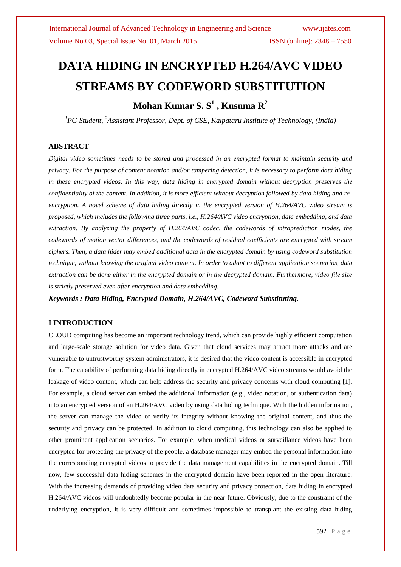# **DATA HIDING IN ENCRYPTED H.264/AVC VIDEO STREAMS BY CODEWORD SUBSTITUTION**

# **Mohan Kumar S. S 1 , Kusuma R 2**

*<sup>1</sup>PG Student, <sup>2</sup>Assistant Professor, Dept. of CSE, Kalpataru Institute of Technology, (India)*

## **ABSTRACT**

*Digital video sometimes needs to be stored and processed in an encrypted format to maintain security and privacy. For the purpose of content notation and/or tampering detection, it is necessary to perform data hiding in these encrypted videos. In this way, data hiding in encrypted domain without decryption preserves the confidentiality of the content. In addition, it is more efficient without decryption followed by data hiding and reencryption. A novel scheme of data hiding directly in the encrypted version of H.264/AVC video stream is proposed, which includes the following three parts, i.e., H.264/AVC video encryption, data embedding, and data extraction. By analyzing the property of H.264/AVC codec, the codewords of intraprediction modes, the codewords of motion vector differences, and the codewords of residual coefficients are encrypted with stream ciphers. Then, a data hider may embed additional data in the encrypted domain by using codeword substitution technique, without knowing the original video content. In order to adapt to different application scenarios, data extraction can be done either in the encrypted domain or in the decrypted domain. Furthermore, video file size is strictly preserved even after encryption and data embedding.*

*Keywords : Data Hiding, Encrypted Domain, H.264/AVC, Codeword Substituting.*

## **I INTRODUCTION**

CLOUD computing has become an important technology trend, which can provide highly efficient computation and large-scale storage solution for video data. Given that cloud services may attract more attacks and are vulnerable to untrustworthy system administrators, it is desired that the video content is accessible in encrypted form. The capability of performing data hiding directly in encrypted H.264/AVC video streams would avoid the leakage of video content, which can help address the security and privacy concerns with cloud computing [1]. For example, a cloud server can embed the additional information (e.g., video notation, or authentication data) into an encrypted version of an H.264/AVC video by using data hiding technique. With the hidden information, the server can manage the video or verify its integrity without knowing the original content, and thus the security and privacy can be protected. In addition to cloud computing, this technology can also be applied to other prominent application scenarios. For example, when medical videos or surveillance videos have been encrypted for protecting the privacy of the people, a database manager may embed the personal information into the corresponding encrypted videos to provide the data management capabilities in the encrypted domain. Till now, few successful data hiding schemes in the encrypted domain have been reported in the open literature. With the increasing demands of providing video data security and privacy protection, data hiding in encrypted H.264/AVC videos will undoubtedly become popular in the near future. Obviously, due to the constraint of the underlying encryption, it is very difficult and sometimes impossible to transplant the existing data hiding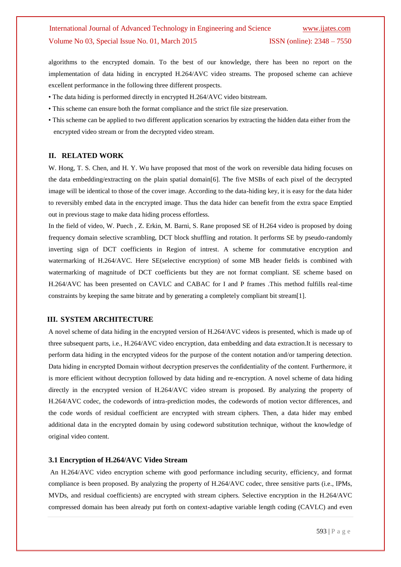algorithms to the encrypted domain. To the best of our knowledge, there has been no report on the implementation of data hiding in encrypted H.264/AVC video streams. The proposed scheme can achieve excellent performance in the following three different prospects.

- The data hiding is performed directly in encrypted H.264/AVC video bitstream.
- This scheme can ensure both the format compliance and the strict file size preservation.
- This scheme can be applied to two different application scenarios by extracting the hidden data either from the encrypted video stream or from the decrypted video stream.

## **II. RELATED WORK**

W. Hong, T. S. Chen, and H. Y. Wu have proposed that most of the work on reversible data hiding focuses on the data embedding/extracting on the plain spatial domain[6]. The five MSBs of each pixel of the decrypted image will be identical to those of the cover image. According to the data-hiding key, it is easy for the data hider to reversibly embed data in the encrypted image. Thus the data hider can benefit from the extra space Emptied out in previous stage to make data hiding process effortless.

In the field of video, W. Puech , Z. Erkin, M. Barni, S. Rane proposed SE of H.264 video is proposed by doing frequency domain selective scrambling, DCT block shuffling and rotation. It performs SE by pseudo-randomly inverting sign of DCT coefficients in Region of intrest. A scheme for commutative encryption and watermarking of H.264/AVC. Here SE(selective encryption) of some MB header fields is combined with watermarking of magnitude of DCT coefficients but they are not format compliant. SE scheme based on H.264/AVC has been presented on CAVLC and CABAC for I and P frames .This method fulfills real-time constraints by keeping the same bitrate and by generating a completely compliant bit stream[1].

#### **III. SYSTEM ARCHITECTURE**

A novel scheme of data hiding in the encrypted version of H.264/AVC videos is presented, which is made up of three subsequent parts, i.e., H.264/AVC video encryption, data embedding and data extraction.It is necessary to perform data hiding in the encrypted videos for the purpose of the content notation and/or tampering detection. Data hiding in encrypted Domain without decryption preserves the confidentiality of the content. Furthermore, it is more efficient without decryption followed by data hiding and re-encryption. A novel scheme of data hiding directly in the encrypted version of H.264/AVC video stream is proposed. By analyzing the property of H.264/AVC codec, the codewords of intra-prediction modes, the codewords of motion vector differences, and the code words of residual coefficient are encrypted with stream ciphers. Then, a data hider may embed additional data in the encrypted domain by using codeword substitution technique, without the knowledge of original video content.

#### **3.1 Encryption of H.264/AVC Video Stream**

An H.264/AVC video encryption scheme with good performance including security, efficiency, and format compliance is been proposed. By analyzing the property of H.264/AVC codec, three sensitive parts (i.e., IPMs, MVDs, and residual coefficients) are encrypted with stream ciphers. Selective encryption in the H.264/AVC compressed domain has been already put forth on context-adaptive variable length coding (CAVLC) and even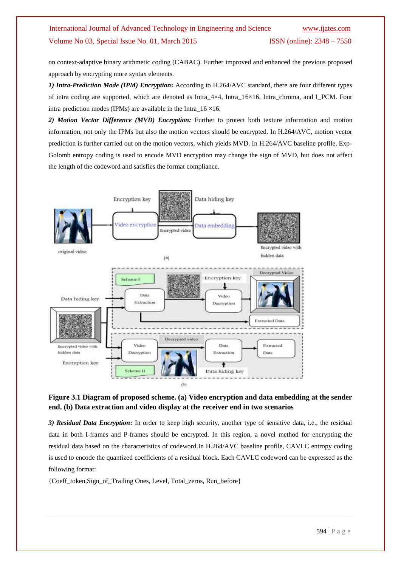on context-adaptive binary arithmetic coding (CABAC). Further improved and enhanced the previous proposed approach by encrypting more syntax elements.

*1) Intra-Prediction Mode (IPM) Encryption***:** According to H.264/AVC standard, there are four different types of intra coding are supported, which are denoted as Intra\_4×4, Intra\_16×16, Intra\_chroma, and I\_PCM. Four intra prediction modes (IPMs) are available in the Intra\_16 ×16.

*2) Motion Vector Difference (MVD) Encryption:* Further to protect both texture information and motion information, not only the IPMs but also the motion vectors should be encrypted. In H.264/AVC, motion vector prediction is further carried out on the motion vectors, which yields MVD. In H.264/AVC baseline profile, Exp-Golomb entropy coding is used to encode MVD encryption may change the sign of MVD, but does not affect the length of the codeword and satisfies the format compliance.



# **Figure 3.1 Diagram of proposed scheme. (a) Video encryption and data embedding at the sender end. (b) Data extraction and video display at the receiver end in two scenarios**

*3) Residual Data Encryption***:** In order to keep high security, another type of sensitive data, i.e., the residual data in both I-frames and P-frames should be encrypted. In this region, a novel method for encrypting the residual data based on the characteristics of codeword.In H.264/AVC baseline profile, CAVLC entropy coding is used to encode the quantized coefficients of a residual block. Each CAVLC codeword can be expressed as the following format:

{Coeff\_token,Sign\_of\_Trailing Ones, Level, Total\_zeros, Run\_before}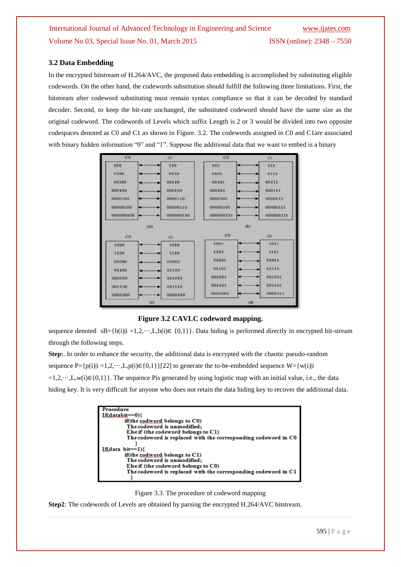## **3.2 Data Embedding**

In the encrypted bitstream of H.264/AVC, the proposed data embedding is accomplished by substituting eligible codewords. On the other hand, the codewords substitution should fulfill the following three limitations. First, the bitstream after codeword substituting must remain syntax compliance so that it can be decoded by standard decoder. Second, to keep the bit-rate unchanged, the substituted codeword should have the same size as the original codeword. The codewords of Levels which suffix Length is 2 or 3 would be divided into two opposite codespaces denoted as C0 and C1 as shown in Figure. 3.2. The codewords assigned in C0 and C1are associated with binary hidden information "0" and "1". Suppose the additional data that we want to embed is a binary



**Figure 3.2 CAVLC codeword mapping.**

sequence denoted sB={b(i)|i =1,2,…,L,b(i)∈ {0,1}}. Data hiding is performed directly in encrypted bit-stream through the following steps.

**Step:**. In order to enhance the security, the additional data is encrypted with the chaotic pseudo-random sequence  $P = \{p(i)|i = 1,2,\dots,L,p(i)\in\{0,1\}\}\{22\}$  to generate the to-be-embedded sequence  $W = \{w(i)|i = 1,2,\dots,L,p(i)\}\{22\}$ =1,2,···,L,w(i)∈{0,1}}. The sequence Pis generated by using logistic map with an initial value, i.e., the data hiding key. It is very difficult for anyone who does not retain the data hiding key to recover the additional data.

| Procedure                                                      |
|----------------------------------------------------------------|
| If(databit==0){                                                |
| if(the codword belongs to C0)                                  |
| The codeword is unmodified;                                    |
| Else if (the codeword belongs to C1)                           |
| The codeword is replaced with the corresponding codeword in CO |
|                                                                |
| If(data bit==1){                                               |
| if(the codword belongs to C1)                                  |
| The codeword is unmodified;                                    |
| Else if (the codeword belongs to C0)                           |
| The codeword is replaced with the corresponding codeword in C1 |
|                                                                |



**Step2**: The codewords of Levels are obtained by parsing the encrypted H.264/AVC bitstream.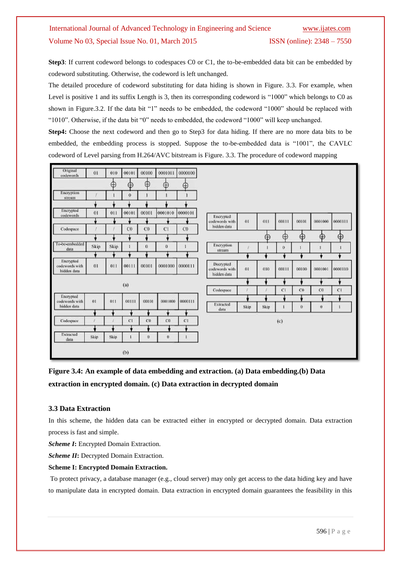Step3: If current codeword belongs to codespaces C0 or C1, the to-be-embedded data bit can be embedded by codeword substituting. Otherwise, the codeword is left unchanged.

The detailed procedure of codeword substituting for data hiding is shown in Figure. 3.3. For example, when Level is positive 1 and its suffix Length is 3, then its corresponding codeword is "1000" which belongs to C0 as shown in Figure.3.2. If the data bit "1" needs to be embedded, the codeword "1000" should be replaced with "1010". Otherwise, if the data bit "0" needs to embedded, the codeword "1000" will keep unchanged.

**Step4:** Choose the next codeword and then go to Step3 for data hiding. If there are no more data bits to be embedded, the embedding process is stopped. Suppose the to-be-embedded data is "1001", the CAVLC codeword of Level parsing from H.264/AVC bitstream is Figure. 3.3. The procedure of codeword mapping

| Extracted<br>data                          | Skip | Skip |             | ö           | $\bf{0}$ |             |                                            |      |      |          |                |          |         |
|--------------------------------------------|------|------|-------------|-------------|----------|-------------|--------------------------------------------|------|------|----------|----------------|----------|---------|
|                                            |      |      |             |             |          |             |                                            |      |      |          |                |          |         |
| Codespace                                  |      |      | C1          | CO          | CO       | C1          |                                            |      |      | (c)      |                |          |         |
|                                            |      |      |             |             |          |             | data                                       |      |      |          |                |          |         |
| codewords with<br>hidden data              | 01   | 011  | 00111       | 00101       | 0001000  | 0000111     | Extracted                                  | Skip | Skip |          | $\bf{0}$       | $\alpha$ |         |
| Encrypted                                  |      |      |             |             |          |             | Codespace                                  |      |      | C1       | C <sub>0</sub> | CO       | C1      |
| (a)                                        |      |      |             |             |          |             |                                            |      |      |          |                |          |         |
| Encrypted<br>codewords with<br>hidden data | 01   | 011  | 00111       | 00101       | 0001000  | 0000111     | Decrypted<br>codewords with<br>hidden data | 01   | 010  | 00111    | 00100          | 0001001  | 0000110 |
|                                            |      |      |             |             | ۲        |             |                                            | ۰    |      |          |                | ۴        |         |
| To-be-embedded<br>data                     | Skip | Skip |             | Ü           | $\bf{0}$ |             | Encryption<br>stream                       |      |      | $\bf{0}$ |                |          |         |
|                                            |      |      |             |             |          |             |                                            |      | Œ    | Œ        | ⊕              | $\oplus$ | Œ       |
| Codespace                                  |      |      | $_{\rm CO}$ | $_{\rm CO}$ | C1       | $_{\rm CO}$ | codewords with<br>hidden data              | 01   | 011  | 00111    | 00101          | 0001000  | 0000111 |
| Encrypted<br>codewords                     | 01   | 011  | 00101       | 00101       | 0001010  | 0000101     | Encrypted                                  |      |      |          |                |          |         |
|                                            |      |      |             |             |          |             |                                            |      |      |          |                |          |         |
| Encryption<br>stream                       |      |      | $\bf{0}$    |             |          |             |                                            |      |      |          |                |          |         |
|                                            |      | ⊕    | $\oplus$    | ⊕           | ⊕        | Œ           |                                            |      |      |          |                |          |         |
| Original<br>codewords                      | 01   | 010  | 00101       | 00100       | 0001011  | 0000100     |                                            |      |      |          |                |          |         |

**Figure 3.4: An example of data embedding and extraction. (a) Data embedding.(b) Data extraction in encrypted domain. (c) Data extraction in decrypted domain**

## **3.3 Data Extraction**

In this scheme, the hidden data can be extracted either in encrypted or decrypted domain. Data extraction process is fast and simple.

*Scheme I***:** Encrypted Domain Extraction.

*Scheme II***:** Decrypted Domain Extraction.

## **Scheme I: Encrypted Domain Extraction.**

To protect privacy, a database manager (e.g., cloud server) may only get access to the data hiding key and have to manipulate data in encrypted domain. Data extraction in encrypted domain guarantees the feasibility in this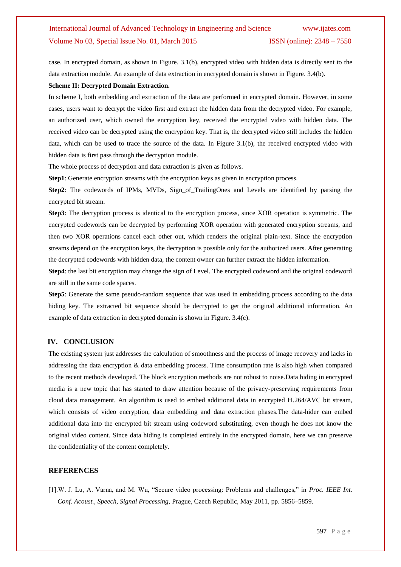case. In encrypted domain, as shown in Figure. 3.1(b), encrypted video with hidden data is directly sent to the data extraction module. An example of data extraction in encrypted domain is shown in Figure. 3.4(b).

## **Scheme II: Decrypted Domain Extraction.**

In scheme I, both embedding and extraction of the data are performed in encrypted domain. However, in some cases, users want to decrypt the video first and extract the hidden data from the decrypted video. For example, an authorized user, which owned the encryption key, received the encrypted video with hidden data. The received video can be decrypted using the encryption key. That is, the decrypted video still includes the hidden data, which can be used to trace the source of the data. In Figure 3.1(b), the received encrypted video with hidden data is first pass through the decryption module.

The whole process of decryption and data extraction is given as follows.

**Step1**: Generate encryption streams with the encryption keys as given in encryption process.

**Step2**: The codewords of IPMs, MVDs, Sign\_of\_TrailingOnes and Levels are identified by parsing the encrypted bit stream.

**Step3**: The decryption process is identical to the encryption process, since XOR operation is symmetric. The encrypted codewords can be decrypted by performing XOR operation with generated encryption streams, and then two XOR operations cancel each other out, which renders the original plain-text. Since the encryption streams depend on the encryption keys, the decryption is possible only for the authorized users. After generating the decrypted codewords with hidden data, the content owner can further extract the hidden information.

**Step4**: the last bit encryption may change the sign of Level. The encrypted codeword and the original codeword are still in the same code spaces.

**Step5**: Generate the same pseudo-random sequence that was used in embedding process according to the data hiding key. The extracted bit sequence should be decrypted to get the original additional information. An example of data extraction in decrypted domain is shown in Figure. 3.4(c).

## **IV. CONCLUSION**

The existing system just addresses the calculation of smoothness and the process of image recovery and lacks in addressing the data encryption & data embedding process. Time consumption rate is also high when compared to the recent methods developed. The block encryption methods are not robust to noise.Data hiding in encrypted media is a new topic that has started to draw attention because of the privacy-preserving requirements from cloud data management. An algorithm is used to embed additional data in encrypted H.264/AVC bit stream, which consists of video encryption, data embedding and data extraction phases.The data-hider can embed additional data into the encrypted bit stream using codeword substituting, even though he does not know the original video content. Since data hiding is completed entirely in the encrypted domain, here we can preserve the confidentiality of the content completely.

#### **REFERENCES**

[1].W. J. Lu, A. Varna, and M. Wu, "Secure video processing: Problems and challenges," in *Proc. IEEE Int. Conf. Acoust., Speech, Signal Processing*, Prague, Czech Republic, May 2011, pp. 5856–5859.